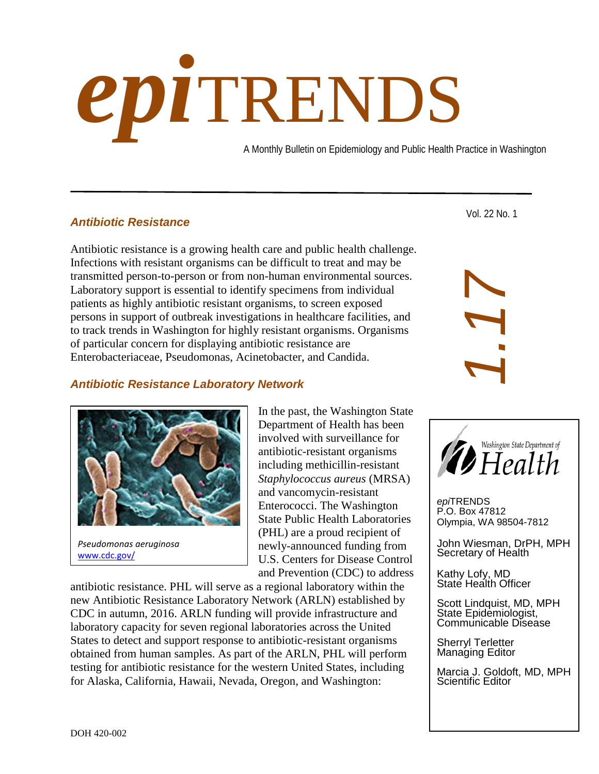# *epi*TRENDS

A Monthly Bulletin on Epidemiology and Public Health Practice in Washington

# *Antibiotic Resistance*

Antibiotic resistance is a growing health care and public health challenge. Infections with resistant organisms can be difficult to treat and may be transmitted person-to-person or from non-human environmental sources. Laboratory support is essential to identify specimens from individual patients as highly antibiotic resistant organisms, to screen exposed persons in support of outbreak investigations in healthcare facilities, and to track trends in Washington for highly resistant organisms. Organisms of particular concern for displaying antibiotic resistance are Enterobacteriaceae, Pseudomonas, Acinetobacter, and Candida.

### *Antibiotic Resistance Laboratory Network*



[www.cdc.gov/](https://www.cdc.gov/)

In the past, the Washington State Department of Health has been involved with surveillance for antibiotic-resistant organisms including methicillin-resistant *Staphylococcus aureus* (MRSA) and vancomycin-resistant Enterococci. The Washington State Public Health Laboratories (PHL) are a proud recipient of newly-announced funding from U.S. Centers for Disease Control and Prevention (CDC) to address

antibiotic resistance. PHL will serve as a regional laboratory within the new Antibiotic Resistance Laboratory Network (ARLN) established by CDC in autumn, 2016. ARLN funding will provide infrastructure and laboratory capacity for seven regional laboratories across the United States to detect and support response to antibiotic-resistant organisms obtained from human samples. As part of the ARLN, PHL will perform testing for antibiotic resistance for the western United States, including for Alaska, California, Hawaii, Nevada, Oregon, and Washington:

Vol. 22 No. 1





*epi*TRENDS P.O. Box 47812 Olympia, WA 98504-7812

John Wiesman, DrPH, MPH Secretary of Health

Kathy Lofy, MD State Health Officer

Scott Lindquist, MD, MPH State Epidemiologist, Communicable Disease

Sherryl Terletter Managing Editor

Marcia J. Goldoft, MD, MPH Scientific Editor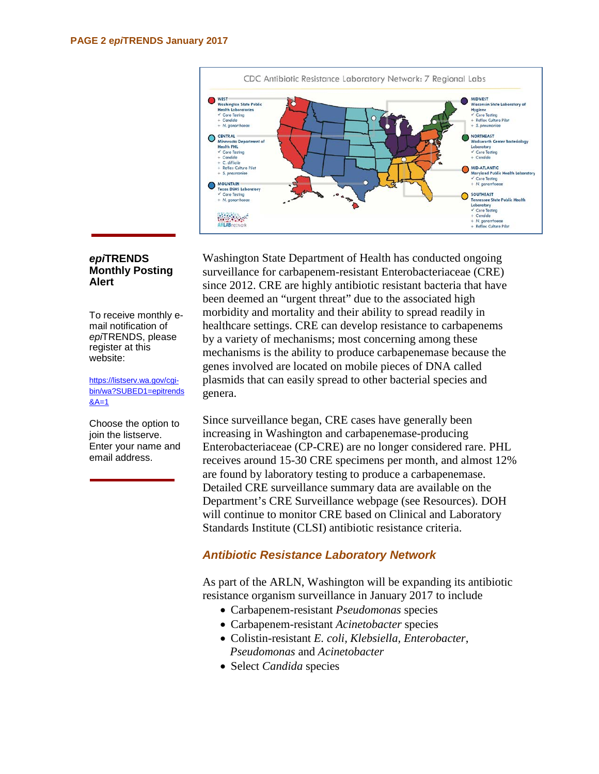

#### *epi***TRENDS Monthly Posting Alert**

To receive monthly email notification of *epi*TRENDS, please register at this website:

[https://listserv.wa.gov/cgi](https://listserv.wa.gov/cgi-bin/wa?SUBED1=epitrends&A=1)[bin/wa?SUBED1=epitrends](https://listserv.wa.gov/cgi-bin/wa?SUBED1=epitrends&A=1)  $8A=1$ 

Choose the option to join the listserve. Enter your name and email address.

Washington State Department of Health has conducted ongoing surveillance for carbapenem-resistant Enterobacteriaceae (CRE) since 2012. CRE are highly antibiotic resistant bacteria that have been deemed an "urgent threat" due to the associated high morbidity and mortality and their ability to spread readily in healthcare settings. CRE can develop resistance to carbapenems by a variety of mechanisms; most concerning among these mechanisms is the ability to produce carbapenemase because the genes involved are located on mobile pieces of DNA called plasmids that can easily spread to other bacterial species and genera.

Since surveillance began, CRE cases have generally been increasing in Washington and carbapenemase-producing Enterobacteriaceae (CP-CRE) are no longer considered rare. PHL receives around 15-30 CRE specimens per month, and almost 12% are found by laboratory testing to produce a carbapenemase. Detailed CRE surveillance summary data are available on the Department's CRE Surveillance webpage (see Resources). DOH will continue to monitor CRE based on Clinical and Laboratory Standards Institute (CLSI) antibiotic resistance criteria.

# *Antibiotic Resistance Laboratory Network*

As part of the ARLN, Washington will be expanding its antibiotic resistance organism surveillance in January 2017 to include

- Carbapenem-resistant *Pseudomonas* species
- Carbapenem-resistant *Acinetobacter* species
- Colistin-resistant *E. coli, Klebsiella, Enterobacter*, *Pseudomonas* and *Acinetobacter*
- Select *Candida* species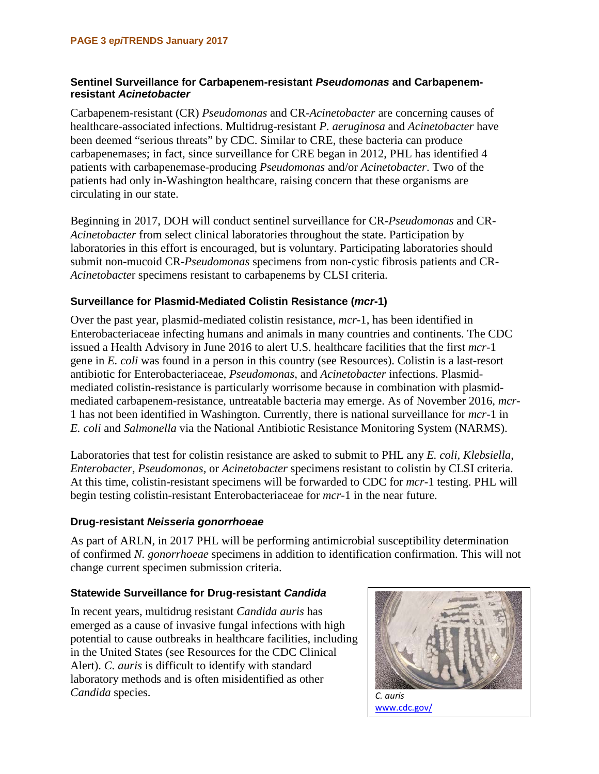#### **Sentinel Surveillance for Carbapenem-resistant** *Pseudomonas* **and Carbapenemresistant** *Acinetobacter*

Carbapenem-resistant (CR) *Pseudomonas* and CR-*Acinetobacter* are concerning causes of healthcare-associated infections. Multidrug-resistant *P. aeruginosa* and *Acinetobacter* have been deemed "serious threats" by CDC. Similar to CRE, these bacteria can produce carbapenemases; in fact, since surveillance for CRE began in 2012, PHL has identified 4 patients with carbapenemase-producing *Pseudomonas* and/or *Acinetobacter*. Two of the patients had only in-Washington healthcare, raising concern that these organisms are circulating in our state.

Beginning in 2017, DOH will conduct sentinel surveillance for CR-*Pseudomonas* and CR-*Acinetobacter* from select clinical laboratories throughout the state. Participation by laboratories in this effort is encouraged, but is voluntary. Participating laboratories should submit non-mucoid CR-*Pseudomonas* specimens from non-cystic fibrosis patients and CR-*Acinetobacte*r specimens resistant to carbapenems by CLSI criteria.

# **Surveillance for Plasmid-Mediated Colistin Resistance (***mcr***-1)**

Over the past year, plasmid-mediated colistin resistance, *mcr*-1, has been identified in Enterobacteriaceae infecting humans and animals in many countries and continents. The CDC issued a Health Advisory in June 2016 to alert U.S. healthcare facilities that the first *mcr*-1 gene in *E. coli* was found in a person in this country (see Resources). Colistin is a last-resort antibiotic for Enterobacteriaceae, *Pseudomonas*, and *Acinetobacter* infections. Plasmidmediated colistin-resistance is particularly worrisome because in combination with plasmidmediated carbapenem-resistance, untreatable bacteria may emerge. As of November 2016, *mcr-*1 has not been identified in Washington. Currently, there is national surveillance for *mcr*-1 in *E. coli* and *Salmonella* via the National Antibiotic Resistance Monitoring System (NARMS).

Laboratories that test for colistin resistance are asked to submit to PHL any *E. coli, Klebsiella*, *Enterobacter, Pseudomonas,* or *Acinetobacter* specimens resistant to colistin by CLSI criteria. At this time, colistin-resistant specimens will be forwarded to CDC for *mcr*-1 testing. PHL will begin testing colistin-resistant Enterobacteriaceae for *mcr*-1 in the near future.

#### **Drug-resistant** *Neisseria gonorrhoeae*

As part of ARLN, in 2017 PHL will be performing antimicrobial susceptibility determination of confirmed *N. gonorrhoeae* specimens in addition to identification confirmation. This will not change current specimen submission criteria.

#### **Statewide Surveillance for Drug-resistant** *Candida*

In recent years, multidrug resistant *Candida auris* has emerged as a cause of invasive fungal infections with high potential to cause outbreaks in healthcare facilities, including in the United States (see Resources for the CDC Clinical Alert). *C. auris* is difficult to identify with standard laboratory methods and is often misidentified as other *Candida* species. *C. auris*



[www.cdc.gov/](https://www.cdc.gov/)